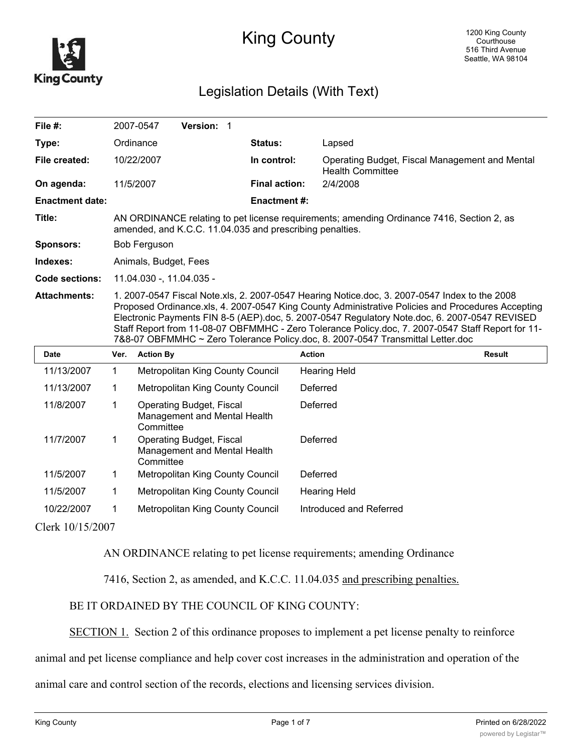

# King County

## Legislation Details (With Text)

| File #:                |      | 2007-0547                                                                                                                                             | Version: 1                                                      |  |                      |                                                                                                                                                                                                                                                                                                     |                                                                                                   |
|------------------------|------|-------------------------------------------------------------------------------------------------------------------------------------------------------|-----------------------------------------------------------------|--|----------------------|-----------------------------------------------------------------------------------------------------------------------------------------------------------------------------------------------------------------------------------------------------------------------------------------------------|---------------------------------------------------------------------------------------------------|
| Type:                  |      | Ordinance                                                                                                                                             |                                                                 |  | Status:              | Lapsed                                                                                                                                                                                                                                                                                              |                                                                                                   |
| File created:          |      | 10/22/2007                                                                                                                                            |                                                                 |  | In control:          | Operating Budget, Fiscal Management and Mental<br><b>Health Committee</b>                                                                                                                                                                                                                           |                                                                                                   |
| On agenda:             |      | 11/5/2007                                                                                                                                             |                                                                 |  | <b>Final action:</b> | 2/4/2008                                                                                                                                                                                                                                                                                            |                                                                                                   |
| <b>Enactment date:</b> |      |                                                                                                                                                       |                                                                 |  | <b>Enactment #:</b>  |                                                                                                                                                                                                                                                                                                     |                                                                                                   |
| Title:                 |      | AN ORDINANCE relating to pet license requirements; amending Ordinance 7416, Section 2, as<br>amended, and K.C.C. 11.04.035 and prescribing penalties. |                                                                 |  |                      |                                                                                                                                                                                                                                                                                                     |                                                                                                   |
| <b>Sponsors:</b>       |      | Bob Ferguson                                                                                                                                          |                                                                 |  |                      |                                                                                                                                                                                                                                                                                                     |                                                                                                   |
| Indexes:               |      | Animals, Budget, Fees                                                                                                                                 |                                                                 |  |                      |                                                                                                                                                                                                                                                                                                     |                                                                                                   |
| <b>Code sections:</b>  |      |                                                                                                                                                       | 11.04.030 -, 11.04.035 -                                        |  |                      |                                                                                                                                                                                                                                                                                                     |                                                                                                   |
| <b>Attachments:</b>    |      |                                                                                                                                                       |                                                                 |  |                      | 1. 2007-0547 Fiscal Note.xls, 2. 2007-0547 Hearing Notice.doc, 3. 2007-0547 Index to the 2008<br>Proposed Ordinance.xls, 4. 2007-0547 King County Administrative Policies and Procedures Accepting<br>Electronic Payments FIN 8-5 (AEP).doc, 5. 2007-0547 Regulatory Note.doc, 6. 2007-0547 REVISED |                                                                                                   |
|                        |      |                                                                                                                                                       |                                                                 |  |                      | 7&8-07 OBFMMHC ~ Zero Tolerance Policy.doc, 8. 2007-0547 Transmittal Letter.doc                                                                                                                                                                                                                     | Staff Report from 11-08-07 OBFMMHC - Zero Tolerance Policy.doc, 7. 2007-0547 Staff Report for 11- |
| <b>Date</b>            | Ver. | <b>Action By</b>                                                                                                                                      |                                                                 |  | <b>Action</b>        |                                                                                                                                                                                                                                                                                                     | <b>Result</b>                                                                                     |
| 11/13/2007             | 1    |                                                                                                                                                       | Metropolitan King County Council                                |  |                      | <b>Hearing Held</b>                                                                                                                                                                                                                                                                                 |                                                                                                   |
| 11/13/2007             | 1    |                                                                                                                                                       | Metropolitan King County Council                                |  |                      | Deferred                                                                                                                                                                                                                                                                                            |                                                                                                   |
| 11/8/2007              | 1    | Committee                                                                                                                                             | <b>Operating Budget, Fiscal</b><br>Management and Mental Health |  |                      | Deferred                                                                                                                                                                                                                                                                                            |                                                                                                   |
| 11/7/2007              | 1    | Committee                                                                                                                                             | <b>Operating Budget, Fiscal</b><br>Management and Mental Health |  |                      | Deferred                                                                                                                                                                                                                                                                                            |                                                                                                   |
| 11/5/2007              | 1    |                                                                                                                                                       | Metropolitan King County Council                                |  |                      | Deferred                                                                                                                                                                                                                                                                                            |                                                                                                   |

10/22/2007 1 Metropolitan King County Council Introduced and Referred

Clerk 10/15/2007

AN ORDINANCE relating to pet license requirements; amending Ordinance

7416, Section 2, as amended, and K.C.C. 11.04.035 and prescribing penalties.

## BE IT ORDAINED BY THE COUNCIL OF KING COUNTY:

SECTION 1. Section 2 of this ordinance proposes to implement a pet license penalty to reinforce

animal and pet license compliance and help cover cost increases in the administration and operation of the

#### animal care and control section of the records, elections and licensing services division.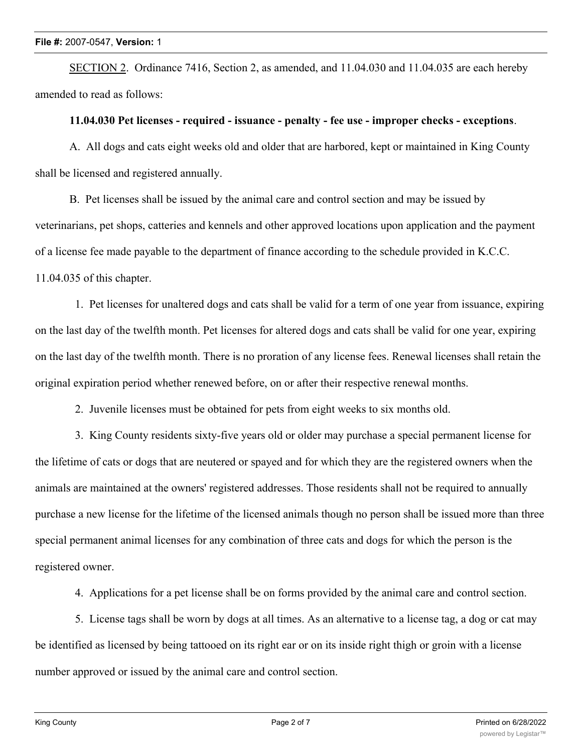SECTION 2. Ordinance 7416, Section 2, as amended, and 11.04.030 and 11.04.035 are each hereby amended to read as follows:

## **11.04.030 Pet licenses - required - issuance - penalty - fee use - improper checks - exceptions**.

A. All dogs and cats eight weeks old and older that are harbored, kept or maintained in King County shall be licensed and registered annually.

B. Pet licenses shall be issued by the animal care and control section and may be issued by veterinarians, pet shops, catteries and kennels and other approved locations upon application and the payment of a license fee made payable to the department of finance according to the schedule provided in K.C.C. 11.04.035 of this chapter.

 1. Pet licenses for unaltered dogs and cats shall be valid for a term of one year from issuance, expiring on the last day of the twelfth month. Pet licenses for altered dogs and cats shall be valid for one year, expiring on the last day of the twelfth month. There is no proration of any license fees. Renewal licenses shall retain the original expiration period whether renewed before, on or after their respective renewal months.

2. Juvenile licenses must be obtained for pets from eight weeks to six months old.

 3. King County residents sixty-five years old or older may purchase a special permanent license for the lifetime of cats or dogs that are neutered or spayed and for which they are the registered owners when the animals are maintained at the owners' registered addresses. Those residents shall not be required to annually purchase a new license for the lifetime of the licensed animals though no person shall be issued more than three special permanent animal licenses for any combination of three cats and dogs for which the person is the registered owner.

4. Applications for a pet license shall be on forms provided by the animal care and control section.

 5. License tags shall be worn by dogs at all times. As an alternative to a license tag, a dog or cat may be identified as licensed by being tattooed on its right ear or on its inside right thigh or groin with a license number approved or issued by the animal care and control section.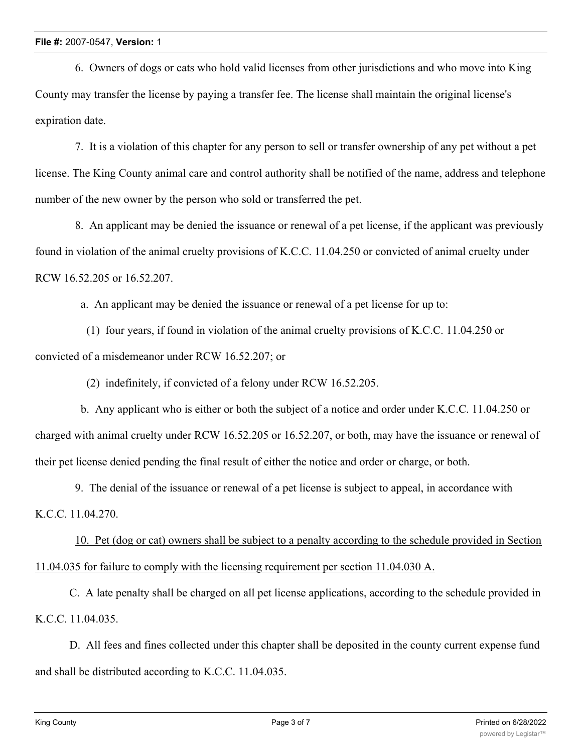6. Owners of dogs or cats who hold valid licenses from other jurisdictions and who move into King County may transfer the license by paying a transfer fee. The license shall maintain the original license's expiration date.

 7. It is a violation of this chapter for any person to sell or transfer ownership of any pet without a pet license. The King County animal care and control authority shall be notified of the name, address and telephone number of the new owner by the person who sold or transferred the pet.

 8. An applicant may be denied the issuance or renewal of a pet license, if the applicant was previously found in violation of the animal cruelty provisions of K.C.C. 11.04.250 or convicted of animal cruelty under RCW 16.52.205 or 16.52.207.

a. An applicant may be denied the issuance or renewal of a pet license for up to:

 (1) four years, if found in violation of the animal cruelty provisions of K.C.C. 11.04.250 or convicted of a misdemeanor under RCW 16.52.207; or

(2) indefinitely, if convicted of a felony under RCW 16.52.205.

 b. Any applicant who is either or both the subject of a notice and order under K.C.C. 11.04.250 or charged with animal cruelty under RCW 16.52.205 or 16.52.207, or both, may have the issuance or renewal of their pet license denied pending the final result of either the notice and order or charge, or both.

 9. The denial of the issuance or renewal of a pet license is subject to appeal, in accordance with K.C.C. 11.04.270.

10. Pet (dog or cat) owners shall be subject to a penalty according to the schedule provided in Section 11.04.035 for failure to comply with the licensing requirement per section 11.04.030 A.

C. A late penalty shall be charged on all pet license applications, according to the schedule provided in K.C.C. 11.04.035.

D. All fees and fines collected under this chapter shall be deposited in the county current expense fund and shall be distributed according to K.C.C. 11.04.035.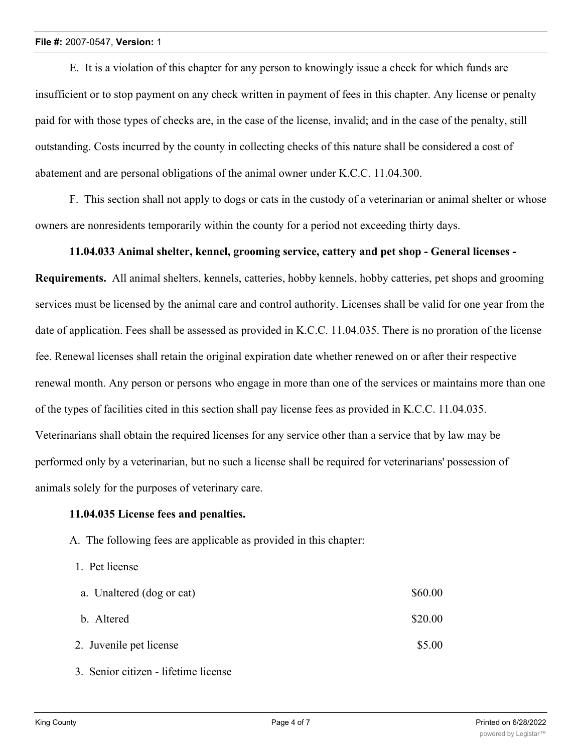#### **File #:** 2007-0547, **Version:** 1

E. It is a violation of this chapter for any person to knowingly issue a check for which funds are insufficient or to stop payment on any check written in payment of fees in this chapter. Any license or penalty paid for with those types of checks are, in the case of the license, invalid; and in the case of the penalty, still outstanding. Costs incurred by the county in collecting checks of this nature shall be considered a cost of abatement and are personal obligations of the animal owner under K.C.C. 11.04.300.

F. This section shall not apply to dogs or cats in the custody of a veterinarian or animal shelter or whose owners are nonresidents temporarily within the county for a period not exceeding thirty days.

#### **11.04.033 Animal shelter, kennel, grooming service, cattery and pet shop - General licenses -**

**Requirements.** All animal shelters, kennels, catteries, hobby kennels, hobby catteries, pet shops and grooming services must be licensed by the animal care and control authority. Licenses shall be valid for one year from the date of application. Fees shall be assessed as provided in K.C.C. 11.04.035. There is no proration of the license fee. Renewal licenses shall retain the original expiration date whether renewed on or after their respective renewal month. Any person or persons who engage in more than one of the services or maintains more than one of the types of facilities cited in this section shall pay license fees as provided in K.C.C. 11.04.035. Veterinarians shall obtain the required licenses for any service other than a service that by law may be performed only by a veterinarian, but no such a license shall be required for veterinarians' possession of animals solely for the purposes of veterinary care.

#### **11.04.035 License fees and penalties.**

- A. The following fees are applicable as provided in this chapter:
	- 1. Pet license

| a. Unaltered (dog or cat) | \$60.00 |
|---------------------------|---------|
| b. Altered                | \$20.00 |
| 2. Juvenile pet license   | \$5.00  |

3. Senior citizen - lifetime license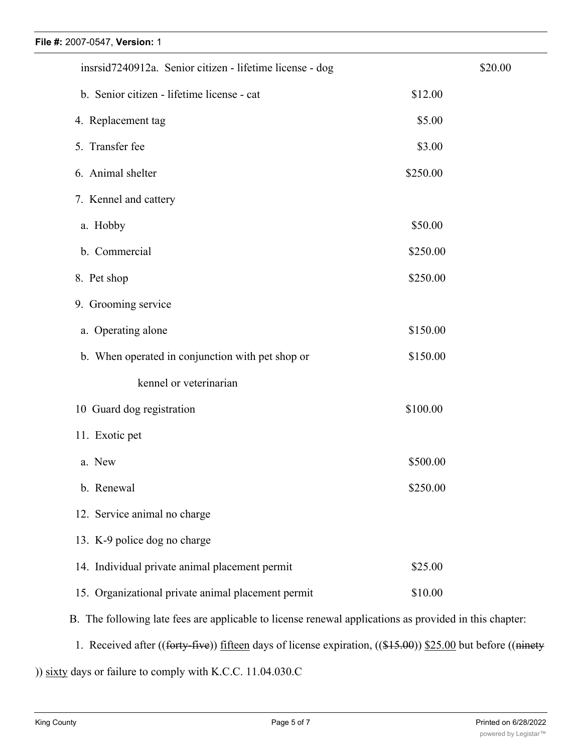| insrsid7240912a. Senior citizen - lifetime license - dog                                               |          | \$20.00 |  |  |
|--------------------------------------------------------------------------------------------------------|----------|---------|--|--|
| b. Senior citizen - lifetime license - cat                                                             | \$12.00  |         |  |  |
| 4. Replacement tag                                                                                     | \$5.00   |         |  |  |
| 5. Transfer fee                                                                                        | \$3.00   |         |  |  |
| 6. Animal shelter                                                                                      | \$250.00 |         |  |  |
| 7. Kennel and cattery                                                                                  |          |         |  |  |
| a. Hobby                                                                                               | \$50.00  |         |  |  |
| b. Commercial                                                                                          | \$250.00 |         |  |  |
| 8. Pet shop                                                                                            | \$250.00 |         |  |  |
| 9. Grooming service                                                                                    |          |         |  |  |
| a. Operating alone                                                                                     | \$150.00 |         |  |  |
| b. When operated in conjunction with pet shop or                                                       | \$150.00 |         |  |  |
| kennel or veterinarian                                                                                 |          |         |  |  |
| 10 Guard dog registration                                                                              | \$100.00 |         |  |  |
| 11. Exotic pet                                                                                         |          |         |  |  |
| a. New                                                                                                 | \$500.00 |         |  |  |
| b. Renewal                                                                                             | \$250.00 |         |  |  |
| 12. Service animal no charge                                                                           |          |         |  |  |
| 13. K-9 police dog no charge                                                                           |          |         |  |  |
| 14. Individual private animal placement permit                                                         | \$25.00  |         |  |  |
| 15. Organizational private animal placement permit                                                     | \$10.00  |         |  |  |
| B. The following late fees are applicable to license renewal applications as provided in this chapter: |          |         |  |  |

1. Received after ((forty-five)) fifteen days of license expiration, ((\$15.00)) \$25.00 but before ((ninety

)) sixty days or failure to comply with K.C.C. 11.04.030.C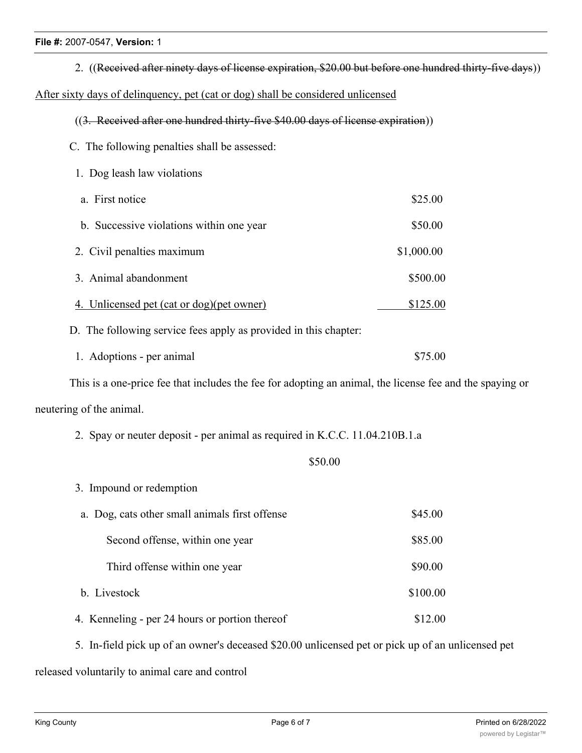#### **File #:** 2007-0547, **Version:** 1

2. ((Received after ninety days of license expiration, \$20.00 but before one hundred thirty-five days))

## After sixty days of delinquency, pet (cat or dog) shall be considered unlicensed

- ((3. Received after one hundred thirty-five \$40.00 days of license expiration))
- C. The following penalties shall be assessed:

| 1. Dog leash law violations                |            |
|--------------------------------------------|------------|
| a. First notice                            | \$25.00    |
| b. Successive violations within one year   | \$50.00    |
| 2. Civil penalties maximum                 | \$1,000.00 |
| 3. Animal abandonment                      | \$500.00   |
| 4. Unlicensed pet (cat or dog) (pet owner) | \$125.00   |

D. The following service fees apply as provided in this chapter:

1. Adoptions - per animal \$75.00

This is a one-price fee that includes the fee for adopting an animal, the license fee and the spaying or neutering of the animal.

2. Spay or neuter deposit - per animal as required in K.C.C. 11.04.210B.1.a

## \$50.00

| 3. Impound or redemption                       |          |
|------------------------------------------------|----------|
| a. Dog, cats other small animals first offense | \$45.00  |
| Second offense, within one year                | \$85.00  |
| Third offense within one year                  | \$90.00  |
| b. Livestock                                   | \$100.00 |
| 4. Kenneling - per 24 hours or portion thereof | \$12.00  |

 5. In-field pick up of an owner's deceased \$20.00 unlicensed pet or pick up of an unlicensed pet released voluntarily to animal care and control